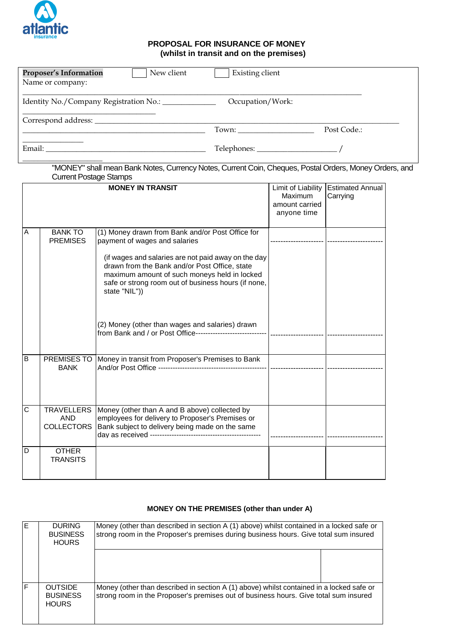

## **PROPOSAL FOR INSURANCE OF MONEY (whilst in transit and on the premises)**

| New client<br><b>Proposer's Information</b>                                                                                                                                                                                    | <b>Existing client</b>                                                                                 |  |
|--------------------------------------------------------------------------------------------------------------------------------------------------------------------------------------------------------------------------------|--------------------------------------------------------------------------------------------------------|--|
| Name or company:                                                                                                                                                                                                               |                                                                                                        |  |
| Identity No./Company Registration No.: ____________                                                                                                                                                                            | Occupation/Work:                                                                                       |  |
| Correspond address:                                                                                                                                                                                                            |                                                                                                        |  |
|                                                                                                                                                                                                                                | Post Code.:                                                                                            |  |
| Email: The contract of the contract of the contract of the contract of the contract of the contract of the contract of the contract of the contract of the contract of the contract of the contract of the contract of the con |                                                                                                        |  |
|                                                                                                                                                                                                                                | "MONEY" shall mean Bank Notes, Currency Notes, Current Coin, Cheques, Postal Orders, Money Orders, and |  |

Current Postage Stamps **MONEY IN TRANSIT** Limit of Liability Maximum amount carried anyone time Estimated Annual Carrying A BANK TO PREMISES (1) Money drawn from Bank and/or Post Office for payment of wages and salaries (if wages and salaries are not paid away on the day drawn from the Bank and/or Post Office, state maximum amount of such moneys held in locked safe or strong room out of business hours (if none, state "NIL")) (2) Money (other than wages and salaries) drawn from Bank and / or Post Office----------------------------- --------------------- ---------------------- --------------------- ---------------------- B | PREMISES TO BANK Money in transit from Proposer's Premises to Bank And/or Post Office --------C | TRAVELLERS AND **COLLECTORS** Money (other than A and B above) collected by employees for delivery to Proposer's Premises or Bank subject to delivery being made on the same day as received -------------------------------- D | OTHER **TRANSITS** 

## **MONEY ON THE PREMISES (other than under A)**

| E | <b>DURING</b><br><b>BUSINESS</b><br><b>HOURS</b>  | Money (other than described in section A (1) above) whilst contained in a locked safe or<br>strong room in the Proposer's premises during business hours. Give total sum insured |  |  |
|---|---------------------------------------------------|----------------------------------------------------------------------------------------------------------------------------------------------------------------------------------|--|--|
|   |                                                   |                                                                                                                                                                                  |  |  |
| F | <b>OUTSIDE</b><br><b>BUSINESS</b><br><b>HOURS</b> | Money (other than described in section A (1) above) whilst contained in a locked safe or<br>strong room in the Proposer's premises out of business hours. Give total sum insured |  |  |